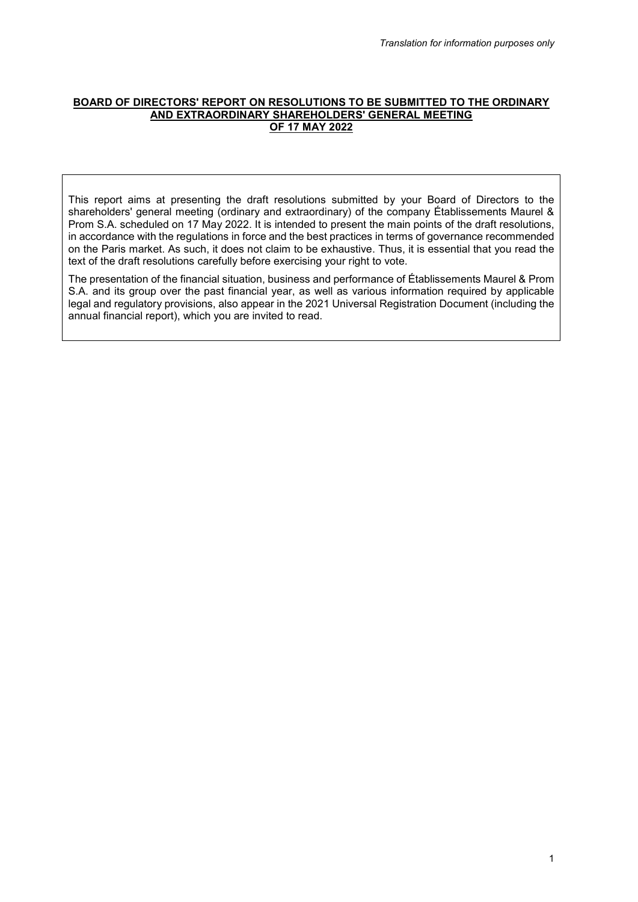### **BOARD OF DIRECTORS' REPORT ON RESOLUTIONS TO BE SUBMITTED TO THE ORDINARY AND EXTRAORDINARY SHAREHOLDERS' GENERAL MEETING OF 17 MAY 2022**

This report aims at presenting the draft resolutions submitted by your Board of Directors to the shareholders' general meeting (ordinary and extraordinary) of the company Établissements Maurel & Prom S.A. scheduled on 17 May 2022. It is intended to present the main points of the draft resolutions, in accordance with the regulations in force and the best practices in terms of governance recommended on the Paris market. As such, it does not claim to be exhaustive. Thus, it is essential that you read the text of the draft resolutions carefully before exercising your right to vote.

The presentation of the financial situation, business and performance of Établissements Maurel & Prom S.A. and its group over the past financial year, as well as various information required by applicable legal and regulatory provisions, also appear in the 2021 Universal Registration Document (including the annual financial report), which you are invited to read.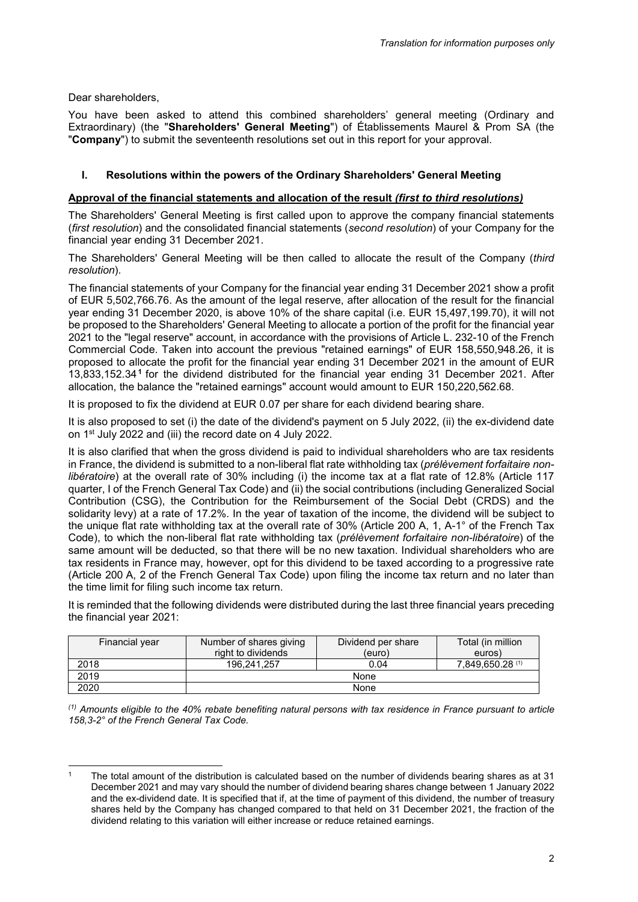Dear shareholders,

You have been asked to attend this combined shareholders' general meeting (Ordinary and Extraordinary) (the "**Shareholders' General Meeting**") of Établissements Maurel & Prom SA (the "**Company**") to submit the seventeenth resolutions set out in this report for your approval.

# **I. Resolutions within the powers of the Ordinary Shareholders' General Meeting**

# **Approval of the financial statements and allocation of the result** *(first to third resolutions)*

The Shareholders' General Meeting is first called upon to approve the company financial statements (*first resolution*) and the consolidated financial statements (*second resolution*) of your Company for the financial year ending 31 December 2021.

The Shareholders' General Meeting will be then called to allocate the result of the Company (*third resolution*).

The financial statements of your Company for the financial year ending 31 December 2021 show a profit of EUR 5,502,766.76. As the amount of the legal reserve, after allocation of the result for the financial year ending 31 December 2020, is above 10% of the share capital (i.e. EUR 15,497,199.70), it will not be proposed to the Shareholders' General Meeting to allocate a portion of the profit for the financial year 2021 to the "legal reserve" account, in accordance with the provisions of Article L. 232-10 of the French Commercial Code. Taken into account the previous "retained earnings" of EUR 158,550,948.26, it is proposed to allocate the profit for the financial year ending 31 December 2021 in the amount of EUR 13,833,152.34**[1](#page-1-0)** for the dividend distributed for the financial year ending 31 December 2021. After allocation, the balance the "retained earnings" account would amount to EUR 150,220,562.68.

It is proposed to fix the dividend at EUR 0.07 per share for each dividend bearing share.

It is also proposed to set (i) the date of the dividend's payment on 5 July 2022, (ii) the ex-dividend date on 1st July 2022 and (iii) the record date on 4 July 2022.

It is also clarified that when the gross dividend is paid to individual shareholders who are tax residents in France, the dividend is submitted to a non-liberal flat rate withholding tax (*prélèvement forfaitaire nonlibératoire*) at the overall rate of 30% including (i) the income tax at a flat rate of 12.8% (Article 117 quarter, I of the French General Tax Code) and (ii) the social contributions (including Generalized Social Contribution (CSG), the Contribution for the Reimbursement of the Social Debt (CRDS) and the solidarity levy) at a rate of 17.2%. In the year of taxation of the income, the dividend will be subject to the unique flat rate withholding tax at the overall rate of 30% (Article 200 A, 1, A-1° of the French Tax Code), to which the non-liberal flat rate withholding tax (*prélèvement forfaitaire non-libératoire*) of the same amount will be deducted, so that there will be no new taxation. Individual shareholders who are tax residents in France may, however, opt for this dividend to be taxed according to a progressive rate (Article 200 A, 2 of the French General Tax Code) upon filing the income tax return and no later than the time limit for filing such income tax return.

It is reminded that the following dividends were distributed during the last three financial years preceding the financial year 2021:

| Financial year | Number of shares giving<br>right to dividends | Dividend per share<br>(euro) | Total (in million<br>euros) |
|----------------|-----------------------------------------------|------------------------------|-----------------------------|
| 2018           | 196.241.257                                   | 0.04                         | 7,849,650.28 (1)            |
| 2019           | None                                          |                              |                             |
| 2020           | None                                          |                              |                             |

*(1) Amounts eligible to the 40% rebate benefiting natural persons with tax residence in France pursuant to article 158,3-2° of the French General Tax Code.*

<span id="page-1-0"></span>j The total amount of the distribution is calculated based on the number of dividends bearing shares as at 31 December 2021 and may vary should the number of dividend bearing shares change between 1 January 2022 and the ex-dividend date. It is specified that if, at the time of payment of this dividend, the number of treasury shares held by the Company has changed compared to that held on 31 December 2021, the fraction of the dividend relating to this variation will either increase or reduce retained earnings.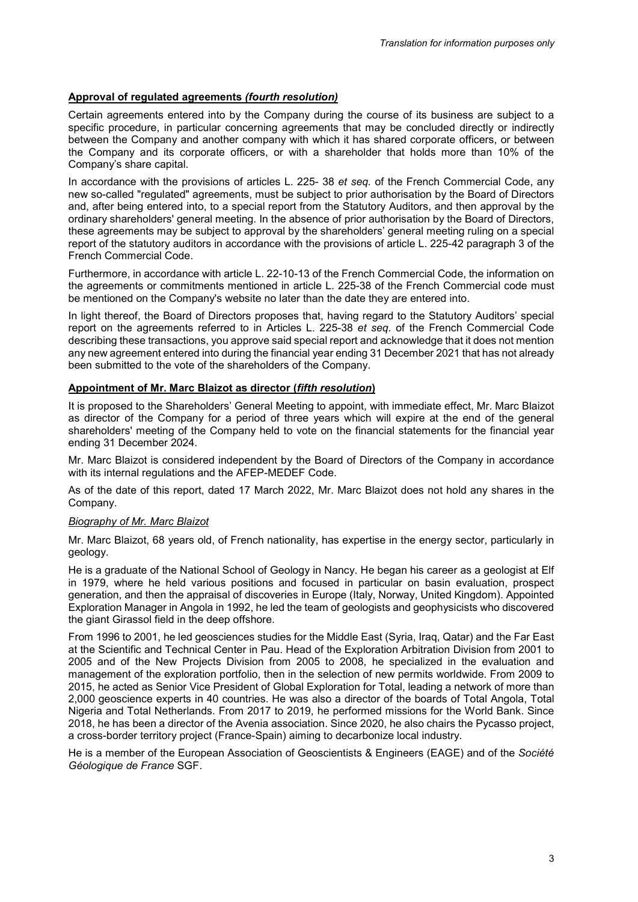# **Approval of regulated agreements** *(fourth resolution)*

Certain agreements entered into by the Company during the course of its business are subject to a specific procedure, in particular concerning agreements that may be concluded directly or indirectly between the Company and another company with which it has shared corporate officers, or between the Company and its corporate officers, or with a shareholder that holds more than 10% of the Company's share capital.

In accordance with the provisions of articles L. 225- 38 *et seq.* of the French Commercial Code, any new so-called "regulated" agreements, must be subject to prior authorisation by the Board of Directors and, after being entered into, to a special report from the Statutory Auditors, and then approval by the ordinary shareholders' general meeting. In the absence of prior authorisation by the Board of Directors, these agreements may be subject to approval by the shareholders' general meeting ruling on a special report of the statutory auditors in accordance with the provisions of article L. 225-42 paragraph 3 of the French Commercial Code.

Furthermore, in accordance with article L. 22-10-13 of the French Commercial Code, the information on the agreements or commitments mentioned in article L. 225-38 of the French Commercial code must be mentioned on the Company's website no later than the date they are entered into.

In light thereof, the Board of Directors proposes that, having regard to the Statutory Auditors' special report on the agreements referred to in Articles L. 225-38 *et seq.* of the French Commercial Code describing these transactions, you approve said special report and acknowledge that it does not mention any new agreement entered into during the financial year ending 31 December 2021 that has not already been submitted to the vote of the shareholders of the Company.

# **Appointment of Mr. Marc Blaizot as director (***fifth resolution***)**

It is proposed to the Shareholders' General Meeting to appoint, with immediate effect, Mr. Marc Blaizot as director of the Company for a period of three years which will expire at the end of the general shareholders' meeting of the Company held to vote on the financial statements for the financial year ending 31 December 2024.

Mr. Marc Blaizot is considered independent by the Board of Directors of the Company in accordance with its internal regulations and the AFEP-MEDEF Code.

As of the date of this report, dated 17 March 2022, Mr. Marc Blaizot does not hold any shares in the Company.

# *Biography of Mr. Marc Blaizot*

Mr. Marc Blaizot, 68 years old, of French nationality, has expertise in the energy sector, particularly in geology.

He is a graduate of the National School of Geology in Nancy. He began his career as a geologist at Elf in 1979, where he held various positions and focused in particular on basin evaluation, prospect generation, and then the appraisal of discoveries in Europe (Italy, Norway, United Kingdom). Appointed Exploration Manager in Angola in 1992, he led the team of geologists and geophysicists who discovered the giant Girassol field in the deep offshore.

From 1996 to 2001, he led geosciences studies for the Middle East (Syria, Iraq, Qatar) and the Far East at the Scientific and Technical Center in Pau. Head of the Exploration Arbitration Division from 2001 to 2005 and of the New Projects Division from 2005 to 2008, he specialized in the evaluation and management of the exploration portfolio, then in the selection of new permits worldwide. From 2009 to 2015, he acted as Senior Vice President of Global Exploration for Total, leading a network of more than 2,000 geoscience experts in 40 countries. He was also a director of the boards of Total Angola, Total Nigeria and Total Netherlands. From 2017 to 2019, he performed missions for the World Bank. Since 2018, he has been a director of the Avenia association. Since 2020, he also chairs the Pycasso project, a cross-border territory project (France-Spain) aiming to decarbonize local industry.

He is a member of the European Association of Geoscientists & Engineers (EAGE) and of the *Société Géologique de France* SGF.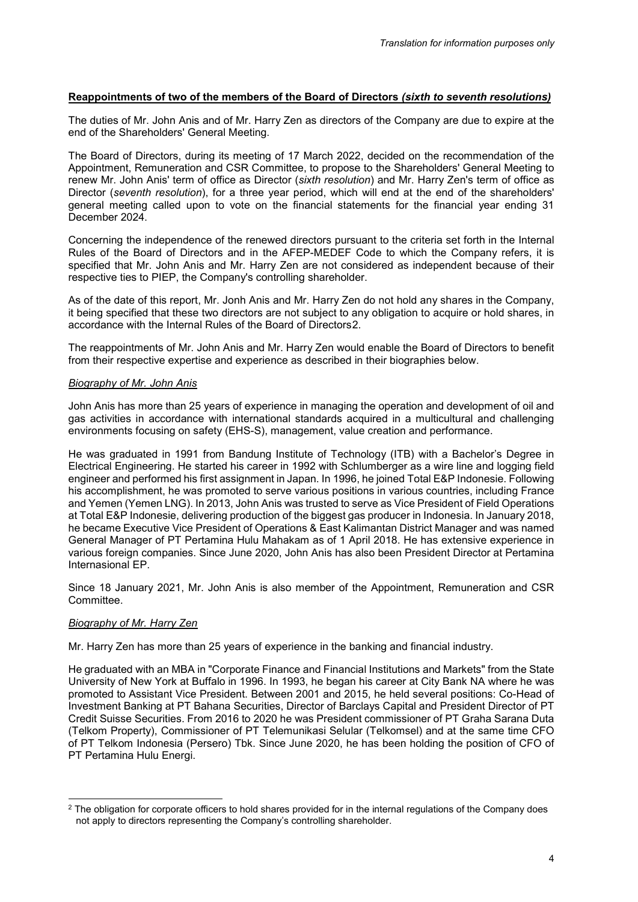# **Reappointments of two of the members of the Board of Directors** *(sixth to seventh resolutions)*

The duties of Mr. John Anis and of Mr. Harry Zen as directors of the Company are due to expire at the end of the Shareholders' General Meeting.

The Board of Directors, during its meeting of 17 March 2022, decided on the recommendation of the Appointment, Remuneration and CSR Committee, to propose to the Shareholders' General Meeting to renew Mr. John Anis' term of office as Director (*sixth resolution*) and Mr. Harry Zen's term of office as Director (*seventh resolution*), for a three year period, which will end at the end of the shareholders' general meeting called upon to vote on the financial statements for the financial year ending 31 December 2024.

Concerning the independence of the renewed directors pursuant to the criteria set forth in the Internal Rules of the Board of Directors and in the AFEP-MEDEF Code to which the Company refers, it is specified that Mr. John Anis and Mr. Harry Zen are not considered as independent because of their respective ties to PIEP, the Company's controlling shareholder.

As of the date of this report, Mr. Jonh Anis and Mr. Harry Zen do not hold any shares in the Company, it being specified that these two directors are not subject to any obligation to acquire or hold shares, in accordance with the Internal Rules of the Board of Directors[2](#page-3-0).

The reappointments of Mr. John Anis and Mr. Harry Zen would enable the Board of Directors to benefit from their respective expertise and experience as described in their biographies below.

## *Biography of Mr. John Anis*

John Anis has more than 25 years of experience in managing the operation and development of oil and gas activities in accordance with international standards acquired in a multicultural and challenging environments focusing on safety (EHS-S), management, value creation and performance.

He was graduated in 1991 from Bandung Institute of Technology (ITB) with a Bachelor's Degree in Electrical Engineering. He started his career in 1992 with Schlumberger as a wire line and logging field engineer and performed his first assignment in Japan. In 1996, he joined Total E&P Indonesie. Following his accomplishment, he was promoted to serve various positions in various countries, including France and Yemen (Yemen LNG). In 2013, John Anis was trusted to serve as Vice President of Field Operations at Total E&P Indonesie, delivering production of the biggest gas producer in Indonesia. In January 2018, he became Executive Vice President of Operations & East Kalimantan District Manager and was named General Manager of PT Pertamina Hulu Mahakam as of 1 April 2018. He has extensive experience in various foreign companies. Since June 2020, John Anis has also been President Director at Pertamina Internasional EP.

Since 18 January 2021, Mr. John Anis is also member of the Appointment, Remuneration and CSR Committee.

# *Biography of Mr. Harry Zen*

Mr. Harry Zen has more than 25 years of experience in the banking and financial industry.

He graduated with an MBA in "Corporate Finance and Financial Institutions and Markets" from the State University of New York at Buffalo in 1996. In 1993, he began his career at City Bank NA where he was promoted to Assistant Vice President. Between 2001 and 2015, he held several positions: Co-Head of Investment Banking at PT Bahana Securities, Director of Barclays Capital and President Director of PT Credit Suisse Securities. From 2016 to 2020 he was President commissioner of PT Graha Sarana Duta (Telkom Property), Commissioner of PT Telemunikasi Selular (Telkomsel) and at the same time CFO of PT Telkom Indonesia (Persero) Tbk. Since June 2020, he has been holding the position of CFO of PT Pertamina Hulu Energi.

<span id="page-3-0"></span><sup>-</sup> $2$  The obligation for corporate officers to hold shares provided for in the internal regulations of the Company does not apply to directors representing the Company's controlling shareholder.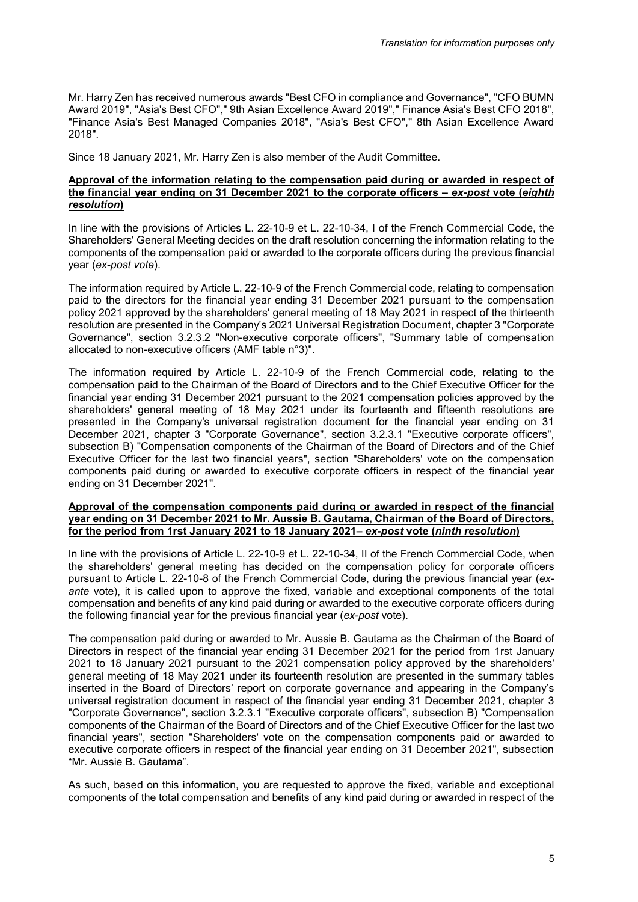Mr. Harry Zen has received numerous awards "Best CFO in compliance and Governance", "CFO BUMN Award 2019", "Asia's Best CFO"," 9th Asian Excellence Award 2019"," Finance Asia's Best CFO 2018", "Finance Asia's Best Managed Companies 2018", "Asia's Best CFO"," 8th Asian Excellence Award 2018".

Since 18 January 2021, Mr. Harry Zen is also member of the Audit Committee.

### **Approval of the information relating to the compensation paid during or awarded in respect of the financial year ending on 31 December 2021 to the corporate officers –** *ex-post* **vote (***eighth resolution***)**

In line with the provisions of Articles L. 22-10-9 et L. 22-10-34, I of the French Commercial Code, the Shareholders' General Meeting decides on the draft resolution concerning the information relating to the components of the compensation paid or awarded to the corporate officers during the previous financial year (*ex-post vote*).

The information required by Article L. 22-10-9 of the French Commercial code, relating to compensation paid to the directors for the financial year ending 31 December 2021 pursuant to the compensation policy 2021 approved by the shareholders' general meeting of 18 May 2021 in respect of the thirteenth resolution are presented in the Company's 2021 Universal Registration Document, chapter 3 "Corporate Governance", section 3.2.3.2 "Non-executive corporate officers", "Summary table of compensation allocated to non-executive officers (AMF table n°3)".

The information required by Article L. 22-10-9 of the French Commercial code, relating to the compensation paid to the Chairman of the Board of Directors and to the Chief Executive Officer for the financial year ending 31 December 2021 pursuant to the 2021 compensation policies approved by the shareholders' general meeting of 18 May 2021 under its fourteenth and fifteenth resolutions are presented in the Company's universal registration document for the financial year ending on 31 December 2021, chapter 3 "Corporate Governance", section 3.2.3.1 "Executive corporate officers", subsection B) "Compensation components of the Chairman of the Board of Directors and of the Chief Executive Officer for the last two financial years", section "Shareholders' vote on the compensation components paid during or awarded to executive corporate officers in respect of the financial year ending on 31 December 2021".

### **Approval of the compensation components paid during or awarded in respect of the financial year ending on 31 December 2021 to Mr. Aussie B. Gautama, Chairman of the Board of Directors, for the period from 1rst January 2021 to 18 January 2021–** *ex-post* **vote (***ninth resolution***)**

In line with the provisions of Article L. 22-10-9 et L. 22-10-34, II of the French Commercial Code, when the shareholders' general meeting has decided on the compensation policy for corporate officers pursuant to Article L. 22-10-8 of the French Commercial Code, during the previous financial year (*exante* vote), it is called upon to approve the fixed, variable and exceptional components of the total compensation and benefits of any kind paid during or awarded to the executive corporate officers during the following financial year for the previous financial year (*ex-post* vote).

The compensation paid during or awarded to Mr. Aussie B. Gautama as the Chairman of the Board of Directors in respect of the financial year ending 31 December 2021 for the period from 1rst January 2021 to 18 January 2021 pursuant to the 2021 compensation policy approved by the shareholders' general meeting of 18 May 2021 under its fourteenth resolution are presented in the summary tables inserted in the Board of Directors' report on corporate governance and appearing in the Company's universal registration document in respect of the financial year ending 31 December 2021, chapter 3 "Corporate Governance", section 3.2.3.1 "Executive corporate officers", subsection B) "Compensation components of the Chairman of the Board of Directors and of the Chief Executive Officer for the last two financial years", section "Shareholders' vote on the compensation components paid or awarded to executive corporate officers in respect of the financial year ending on 31 December 2021", subsection "Mr. Aussie B. Gautama".

As such, based on this information, you are requested to approve the fixed, variable and exceptional components of the total compensation and benefits of any kind paid during or awarded in respect of the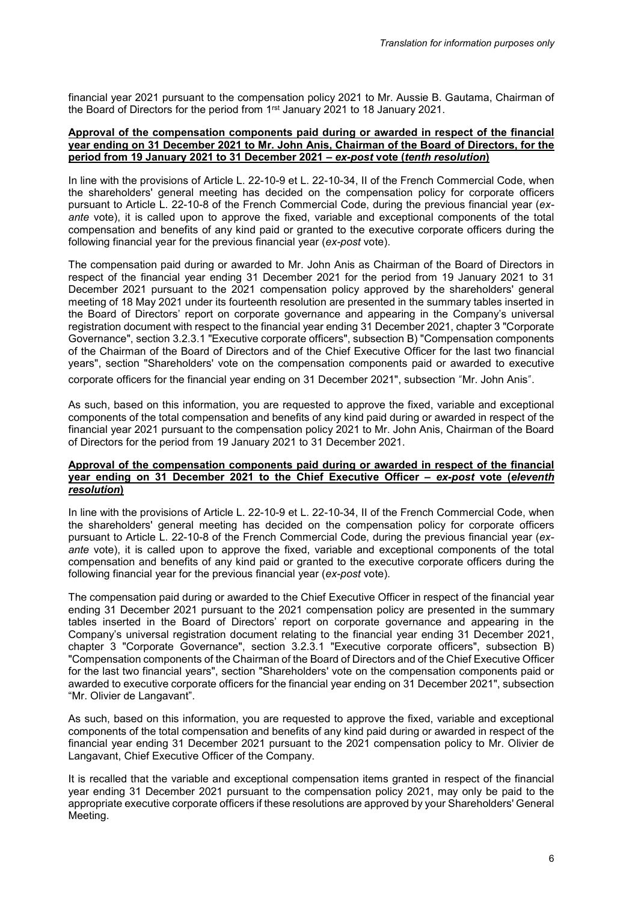financial year 2021 pursuant to the compensation policy 2021 to Mr. Aussie B. Gautama, Chairman of the Board of Directors for the period from 1<sup>rst</sup> January 2021 to 18 January 2021.

#### **Approval of the compensation components paid during or awarded in respect of the financial year ending on 31 December 2021 to Mr. John Anis, Chairman of the Board of Directors, for the period from 19 January 2021 to 31 December 2021 –** *ex-post* **vote (***tenth resolution***)**

In line with the provisions of Article L. 22-10-9 et L. 22-10-34, II of the French Commercial Code, when the shareholders' general meeting has decided on the compensation policy for corporate officers pursuant to Article L. 22-10-8 of the French Commercial Code, during the previous financial year (*exante* vote), it is called upon to approve the fixed, variable and exceptional components of the total compensation and benefits of any kind paid or granted to the executive corporate officers during the following financial year for the previous financial year (*ex-post* vote).

The compensation paid during or awarded to Mr. John Anis as Chairman of the Board of Directors in respect of the financial year ending 31 December 2021 for the period from 19 January 2021 to 31 December 2021 pursuant to the 2021 compensation policy approved by the shareholders' general meeting of 18 May 2021 under its fourteenth resolution are presented in the summary tables inserted in the Board of Directors' report on corporate governance and appearing in the Company's universal registration document with respect to the financial year ending 31 December 2021, chapter 3 "Corporate Governance", section 3.2.3.1 "Executive corporate officers", subsection B) "Compensation components of the Chairman of the Board of Directors and of the Chief Executive Officer for the last two financial years", section "Shareholders' vote on the compensation components paid or awarded to executive corporate officers for the financial year ending on 31 December 2021", subsection "Mr. John Anis".

As such, based on this information, you are requested to approve the fixed, variable and exceptional components of the total compensation and benefits of any kind paid during or awarded in respect of the financial year 2021 pursuant to the compensation policy 2021 to Mr. John Anis, Chairman of the Board of Directors for the period from 19 January 2021 to 31 December 2021.

### **Approval of the compensation components paid during or awarded in respect of the financial year ending on 31 December 2021 to the Chief Executive Officer –** *ex-post* **vote (***eleventh resolution***)**

In line with the provisions of Article L. 22-10-9 et L. 22-10-34, II of the French Commercial Code, when the shareholders' general meeting has decided on the compensation policy for corporate officers pursuant to Article L. 22-10-8 of the French Commercial Code, during the previous financial year (*exante* vote), it is called upon to approve the fixed, variable and exceptional components of the total compensation and benefits of any kind paid or granted to the executive corporate officers during the following financial year for the previous financial year (*ex-post* vote).

The compensation paid during or awarded to the Chief Executive Officer in respect of the financial year ending 31 December 2021 pursuant to the 2021 compensation policy are presented in the summary tables inserted in the Board of Directors' report on corporate governance and appearing in the Company's universal registration document relating to the financial year ending 31 December 2021, chapter 3 "Corporate Governance", section 3.2.3.1 "Executive corporate officers", subsection B) "Compensation components of the Chairman of the Board of Directors and of the Chief Executive Officer for the last two financial years", section "Shareholders' vote on the compensation components paid or awarded to executive corporate officers for the financial year ending on 31 December 2021", subsection "Mr. Olivier de Langavant".

As such, based on this information, you are requested to approve the fixed, variable and exceptional components of the total compensation and benefits of any kind paid during or awarded in respect of the financial year ending 31 December 2021 pursuant to the 2021 compensation policy to Mr. Olivier de Langavant, Chief Executive Officer of the Company.

It is recalled that the variable and exceptional compensation items granted in respect of the financial year ending 31 December 2021 pursuant to the compensation policy 2021, may only be paid to the appropriate executive corporate officers if these resolutions are approved by your Shareholders' General Meeting.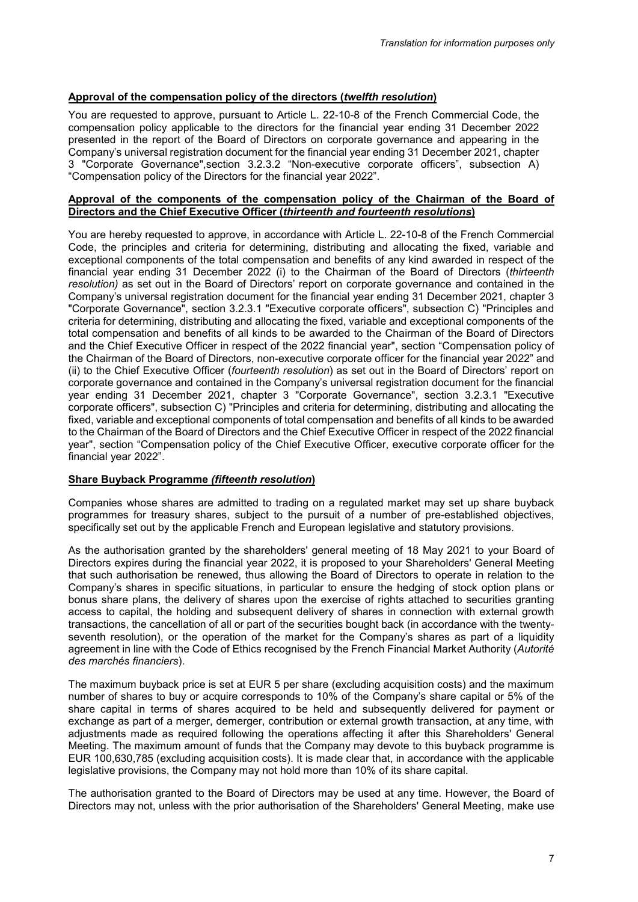# **Approval of the compensation policy of the directors (***twelfth resolution***)**

You are requested to approve, pursuant to Article L. 22-10-8 of the French Commercial Code, the compensation policy applicable to the directors for the financial year ending 31 December 2022 presented in the report of the Board of Directors on corporate governance and appearing in the Company's universal registration document for the financial year ending 31 December 2021, chapter 3 "Corporate Governance",section 3.2.3.2 "Non-executive corporate officers", subsection A) "Compensation policy of the Directors for the financial year 2022".

### **Approval of the components of the compensation policy of the Chairman of the Board of Directors and the Chief Executive Officer (***thirteenth and fourteenth resolutions***)**

You are hereby requested to approve, in accordance with Article L. 22-10-8 of the French Commercial Code, the principles and criteria for determining, distributing and allocating the fixed, variable and exceptional components of the total compensation and benefits of any kind awarded in respect of the financial year ending 31 December 2022 (i) to the Chairman of the Board of Directors (*thirteenth resolution)* as set out in the Board of Directors' report on corporate governance and contained in the Company's universal registration document for the financial year ending 31 December 2021, chapter 3 "Corporate Governance", section 3.2.3.1 "Executive corporate officers", subsection C) "Principles and criteria for determining, distributing and allocating the fixed, variable and exceptional components of the total compensation and benefits of all kinds to be awarded to the Chairman of the Board of Directors and the Chief Executive Officer in respect of the 2022 financial year", section "Compensation policy of the Chairman of the Board of Directors, non-executive corporate officer for the financial year 2022" and (ii) to the Chief Executive Officer (*fourteenth resolution*) as set out in the Board of Directors' report on corporate governance and contained in the Company's universal registration document for the financial year ending 31 December 2021, chapter 3 "Corporate Governance", section 3.2.3.1 "Executive corporate officers", subsection C) "Principles and criteria for determining, distributing and allocating the fixed, variable and exceptional components of total compensation and benefits of all kinds to be awarded to the Chairman of the Board of Directors and the Chief Executive Officer in respect of the 2022 financial year", section "Compensation policy of the Chief Executive Officer, executive corporate officer for the financial year 2022".

# **Share Buyback Programme** *(fifteenth resolution***)**

Companies whose shares are admitted to trading on a regulated market may set up share buyback programmes for treasury shares, subject to the pursuit of a number of pre-established objectives, specifically set out by the applicable French and European legislative and statutory provisions.

As the authorisation granted by the shareholders' general meeting of 18 May 2021 to your Board of Directors expires during the financial year 2022, it is proposed to your Shareholders' General Meeting that such authorisation be renewed, thus allowing the Board of Directors to operate in relation to the Company's shares in specific situations, in particular to ensure the hedging of stock option plans or bonus share plans, the delivery of shares upon the exercise of rights attached to securities granting access to capital, the holding and subsequent delivery of shares in connection with external growth transactions, the cancellation of all or part of the securities bought back (in accordance with the twentyseventh resolution), or the operation of the market for the Company's shares as part of a liquidity agreement in line with the Code of Ethics recognised by the French Financial Market Authority (*Autorité des marchés financiers*).

The maximum buyback price is set at EUR 5 per share (excluding acquisition costs) and the maximum number of shares to buy or acquire corresponds to 10% of the Company's share capital or 5% of the share capital in terms of shares acquired to be held and subsequently delivered for payment or exchange as part of a merger, demerger, contribution or external growth transaction, at any time, with adjustments made as required following the operations affecting it after this Shareholders' General Meeting. The maximum amount of funds that the Company may devote to this buyback programme is EUR 100,630,785 (excluding acquisition costs). It is made clear that, in accordance with the applicable legislative provisions, the Company may not hold more than 10% of its share capital.

The authorisation granted to the Board of Directors may be used at any time. However, the Board of Directors may not, unless with the prior authorisation of the Shareholders' General Meeting, make use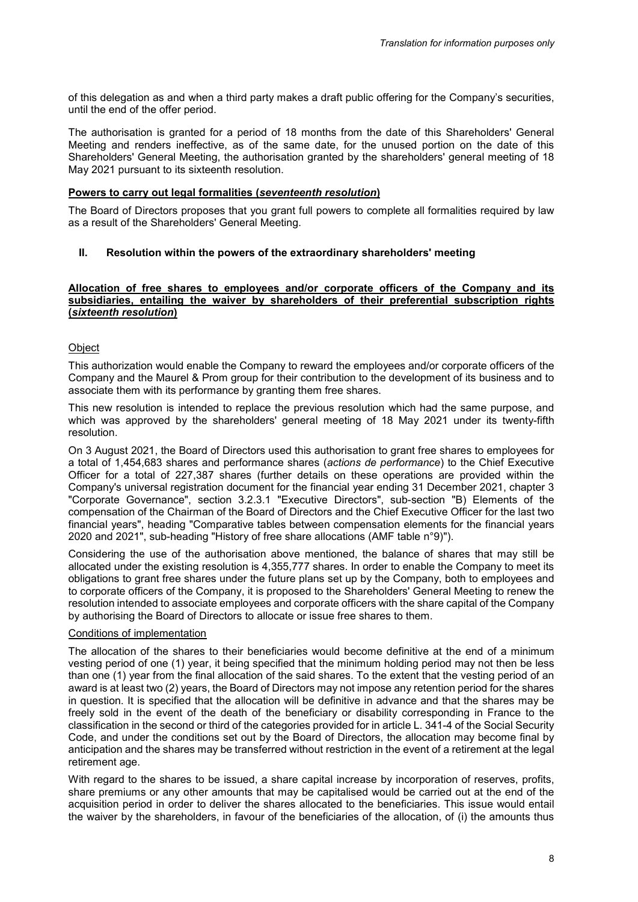of this delegation as and when a third party makes a draft public offering for the Company's securities, until the end of the offer period.

The authorisation is granted for a period of 18 months from the date of this Shareholders' General Meeting and renders ineffective, as of the same date, for the unused portion on the date of this Shareholders' General Meeting, the authorisation granted by the shareholders' general meeting of 18 May 2021 pursuant to its sixteenth resolution.

### **Powers to carry out legal formalities (***seventeenth resolution***)**

The Board of Directors proposes that you grant full powers to complete all formalities required by law as a result of the Shareholders' General Meeting.

## **II. Resolution within the powers of the extraordinary shareholders' meeting**

### **Allocation of free shares to employees and/or corporate officers of the Company and its subsidiaries, entailing the waiver by shareholders of their preferential subscription rights (***sixteenth resolution***)**

## Object

This authorization would enable the Company to reward the employees and/or corporate officers of the Company and the Maurel & Prom group for their contribution to the development of its business and to associate them with its performance by granting them free shares.

This new resolution is intended to replace the previous resolution which had the same purpose, and which was approved by the shareholders' general meeting of 18 May 2021 under its twenty-fifth resolution.

On 3 August 2021, the Board of Directors used this authorisation to grant free shares to employees for a total of 1,454,683 shares and performance shares (*actions de performance*) to the Chief Executive Officer for a total of 227,387 shares (further details on these operations are provided within the Company's universal registration document for the financial year ending 31 December 2021, chapter 3 "Corporate Governance", section 3.2.3.1 "Executive Directors", sub-section "B) Elements of the compensation of the Chairman of the Board of Directors and the Chief Executive Officer for the last two financial years", heading "Comparative tables between compensation elements for the financial years 2020 and 2021", sub-heading "History of free share allocations (AMF table n°9)").

Considering the use of the authorisation above mentioned, the balance of shares that may still be allocated under the existing resolution is 4,355,777 shares. In order to enable the Company to meet its obligations to grant free shares under the future plans set up by the Company, both to employees and to corporate officers of the Company, it is proposed to the Shareholders' General Meeting to renew the resolution intended to associate employees and corporate officers with the share capital of the Company by authorising the Board of Directors to allocate or issue free shares to them.

### Conditions of implementation

The allocation of the shares to their beneficiaries would become definitive at the end of a minimum vesting period of one (1) year, it being specified that the minimum holding period may not then be less than one (1) year from the final allocation of the said shares. To the extent that the vesting period of an award is at least two (2) years, the Board of Directors may not impose any retention period for the shares in question. It is specified that the allocation will be definitive in advance and that the shares may be freely sold in the event of the death of the beneficiary or disability corresponding in France to the classification in the second or third of the categories provided for in article L. 341-4 of the Social Security Code, and under the conditions set out by the Board of Directors, the allocation may become final by anticipation and the shares may be transferred without restriction in the event of a retirement at the legal retirement age.

With regard to the shares to be issued, a share capital increase by incorporation of reserves, profits, share premiums or any other amounts that may be capitalised would be carried out at the end of the acquisition period in order to deliver the shares allocated to the beneficiaries. This issue would entail the waiver by the shareholders, in favour of the beneficiaries of the allocation, of (i) the amounts thus